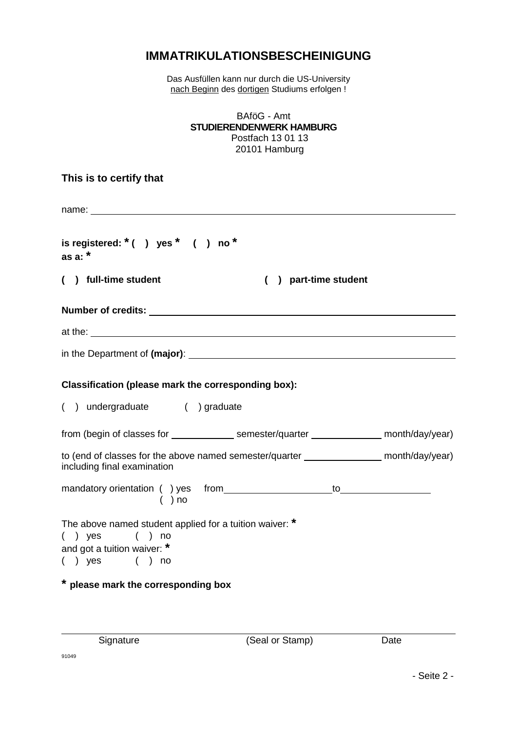## **IMMATRIKULATIONSBESCHEINIGUNG**

Das Ausfüllen kann nur durch die US-University nach Beginn des dortigen Studiums erfolgen !

| BAföG - Amt<br><b>STUDIERENDENWERK HAMBURG</b><br>Postfach 13 01 13<br>20101 Hamburg                                                                                                                                                 |  |
|--------------------------------------------------------------------------------------------------------------------------------------------------------------------------------------------------------------------------------------|--|
| This is to certify that                                                                                                                                                                                                              |  |
| name: experience and a series of the series of the series of the series of the series of the series of the series of the series of the series of the series of the series of the series of the series of the series of the ser       |  |
| is registered: $*( )$ yes $*( )$ no $*$<br>as a: $*$                                                                                                                                                                                 |  |
| () full-time student<br>) part-time student                                                                                                                                                                                          |  |
| Number of credits: <u>example and contract and contract and contract and contract and contract and contract and contract of the contract of the contract of the contract of the contract of the contract of the contract of the </u> |  |
| at the: <u>example and the set of the set of the set of the set of the set of the set of the set of the set of the set of the set of the set of the set of the set of the set of the set of the set of the set of the set of the</u> |  |
|                                                                                                                                                                                                                                      |  |
| Classification (please mark the corresponding box):                                                                                                                                                                                  |  |
| () undergraduate () graduate                                                                                                                                                                                                         |  |
| from (begin of classes for ________________ semester/quarter ______________ month/day/year)                                                                                                                                          |  |
| to (end of classes for the above named semester/quarter ________________ month/day/year)<br>including final examination                                                                                                              |  |
| $\overline{a}$ ( ) no                                                                                                                                                                                                                |  |
| The above named student applied for a tuition waiver: *<br>$( )$ yes<br>no<br>$\mathcal{L}$<br>and got a tuition waiver: *<br>$( )$ yes<br>( ) no                                                                                    |  |
| * please mark the corresponding box                                                                                                                                                                                                  |  |

Signature (Seal or Stamp) Date